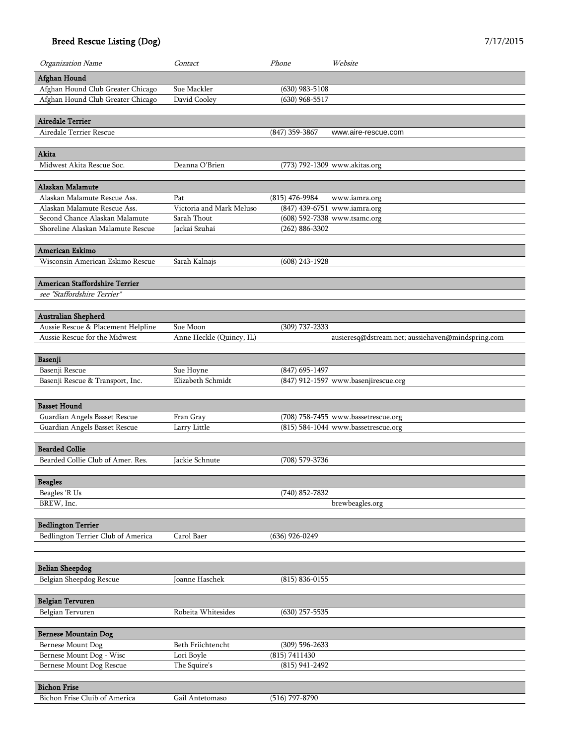| Organization Name                                         | Contact                   | Phone              | Website                                           |
|-----------------------------------------------------------|---------------------------|--------------------|---------------------------------------------------|
| Afghan Hound                                              |                           |                    |                                                   |
| Afghan Hound Club Greater Chicago                         | Sue Mackler               | $(630)$ 983-5108   |                                                   |
| Afghan Hound Club Greater Chicago                         | David Cooley              | $(630)$ 968-5517   |                                                   |
|                                                           |                           |                    |                                                   |
| <b>Airedale Terrier</b>                                   |                           |                    |                                                   |
| Airedale Terrier Rescue                                   |                           | $(847)$ 359-3867   | www.aire-rescue.com                               |
| Akita                                                     |                           |                    |                                                   |
| Midwest Akita Rescue Soc.                                 | Deanna O'Brien            |                    | (773) 792-1309 www.akitas.org                     |
|                                                           |                           |                    |                                                   |
| Alaskan Malamute                                          |                           |                    |                                                   |
| Alaskan Malamute Rescue Ass.                              | Pat                       | $(815)$ 476-9984   | www.iamra.org                                     |
| Alaskan Malamute Rescue Ass.                              | Victoria and Mark Meluso  |                    | (847) 439-6751 www.iamra.org                      |
| Second Chance Alaskan Malamute                            | Sarah Thout               |                    | (608) 592-7338 www.tsamc.org                      |
| Shoreline Alaskan Malamute Rescue                         | Jackai Szuhai             | $(262) 886 - 3302$ |                                                   |
| American Eskimo                                           |                           |                    |                                                   |
| Wisconsin American Eskimo Rescue                          | Sarah Kalnajs             | $(608)$ 243-1928   |                                                   |
|                                                           |                           |                    |                                                   |
| American Staffordshire Terrier                            |                           |                    |                                                   |
| see "Staffordshire Terrier"                               |                           |                    |                                                   |
|                                                           |                           |                    |                                                   |
| Australian Shepherd<br>Aussie Rescue & Placement Helpline | Sue Moon                  | $(309)$ 737-2333   |                                                   |
| Aussie Rescue for the Midwest                             | Anne Heckle (Quincy, IL)  |                    | ausieresq@dstream.net; aussiehaven@mindspring.com |
|                                                           |                           |                    |                                                   |
| Basenji                                                   |                           |                    |                                                   |
| Basenji Rescue                                            | Sue Hoyne                 | $(847)$ 695-1497   |                                                   |
| Basenji Rescue & Transport, Inc.                          | Elizabeth Schmidt         |                    | (847) 912-1597 www.basenjirescue.org              |
|                                                           |                           |                    |                                                   |
| <b>Basset Hound</b>                                       |                           |                    |                                                   |
| Guardian Angels Basset Rescue                             | Fran Gray<br>Larry Little |                    | (708) 758-7455 www.bassetrescue.org               |
| Guardian Angels Basset Rescue                             |                           |                    | (815) 584-1044 www.bassetrescue.org               |
| <b>Bearded Collie</b>                                     |                           |                    |                                                   |
| Bearded Collie Club of Amer. Res.                         | Jackie Schnute            | (708) 579-3736     |                                                   |
|                                                           |                           |                    |                                                   |
| <b>Beagles</b>                                            |                           |                    |                                                   |
| Beagles 'R Us                                             |                           | $(740)$ 852-7832   |                                                   |
| BREW, Inc.                                                |                           |                    | brewbeagles.org                                   |
| <b>Bedlington Terrier</b>                                 |                           |                    |                                                   |
| Bedlington Terrier Club of America                        | Carol Baer                | $(636)$ 926-0249   |                                                   |
|                                                           |                           |                    |                                                   |
|                                                           |                           |                    |                                                   |
| <b>Belian Sheepdog</b>                                    |                           |                    |                                                   |
| Belgian Sheepdog Rescue                                   | Joanne Haschek            | $(815) 836 - 0155$ |                                                   |
|                                                           |                           |                    |                                                   |
| <b>Belgian Tervuren</b><br>Belgian Tervuren               | Robeita Whitesides        | $(630)$ 257-5535   |                                                   |
|                                                           |                           |                    |                                                   |
| <b>Bernese Mountain Dog</b>                               |                           |                    |                                                   |
| Bernese Mount Dog                                         | Beth Friichtencht         | $(309)$ 596-2633   |                                                   |
| Bernese Mount Dog - Wisc                                  | Lori Boyle                | (815) 7411430      |                                                   |
| Bernese Mount Dog Rescue                                  | The Squire's              | $(815)$ 941-2492   |                                                   |
|                                                           |                           |                    |                                                   |
| <b>Bichon Frise</b>                                       |                           |                    |                                                   |
| Bichon Frise Cluib of America                             | Gail Antetomaso           | $(516)$ 797-8790   |                                                   |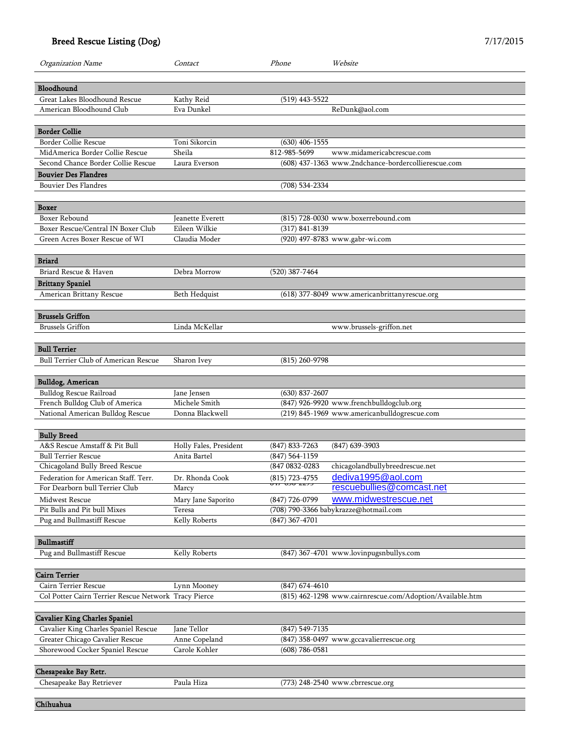| Organization Name                                    | Contact                | Phone                                      | Website                                                   |
|------------------------------------------------------|------------------------|--------------------------------------------|-----------------------------------------------------------|
|                                                      |                        |                                            |                                                           |
| Bloodhound                                           |                        |                                            |                                                           |
| Great Lakes Bloodhound Rescue                        | Kathy Reid             | $(519)$ 443-5522                           |                                                           |
| American Bloodhound Club                             | Eva Dunkel             |                                            | ReDunk@aol.com                                            |
| <b>Border Collie</b>                                 |                        |                                            |                                                           |
| Border Collie Rescue                                 | Toni Sikorcin          | $(630)$ 406-1555                           |                                                           |
| MidAmerica Border Collie Rescue                      | Sheila                 | 812-985-5699                               | www.midamericabcrescue.com                                |
| Second Chance Border Collie Rescue                   | Laura Everson          |                                            | (608) 437-1363 www.2ndchance-bordercollierescue.com       |
| <b>Bouvier Des Flandres</b>                          |                        |                                            |                                                           |
| <b>Bouvier Des Flandres</b>                          |                        | (708) 534-2334                             |                                                           |
|                                                      |                        |                                            |                                                           |
| Boxer                                                |                        |                                            |                                                           |
| Boxer Rebound                                        | Jeanette Everett       |                                            | (815) 728-0030 www.boxerrebound.com                       |
| Boxer Rescue/Central IN Boxer Club                   | Eileen Wilkie          | $(317) 841 - 8139$                         |                                                           |
| Green Acres Boxer Rescue of WI                       | Claudia Moder          |                                            | (920) 497-8783 www.gabr-wi.com                            |
|                                                      |                        |                                            |                                                           |
|                                                      |                        |                                            |                                                           |
| <b>Briard</b>                                        |                        |                                            |                                                           |
| Briard Rescue & Haven                                | Debra Morrow           | $(520)$ 387-7464                           |                                                           |
| <b>Brittany Spaniel</b>                              |                        |                                            |                                                           |
| American Brittany Rescue                             | Beth Hedquist          |                                            | (618) 377-8049 www.americanbrittanyrescue.org             |
|                                                      |                        |                                            |                                                           |
| <b>Brussels Griffon</b>                              |                        |                                            |                                                           |
| <b>Brussels Griffon</b>                              | Linda McKellar         |                                            | www.brussels-griffon.net                                  |
|                                                      |                        |                                            |                                                           |
| <b>Bull Terrier</b>                                  |                        |                                            |                                                           |
| <b>Bull Terrier Club of American Rescue</b>          | Sharon Ivey            | $(815)$ 260-9798                           |                                                           |
|                                                      |                        |                                            |                                                           |
| <b>Bulldog, American</b>                             |                        |                                            |                                                           |
| Bulldog Rescue Railroad                              | Jane Jensen            | $(630)$ 837-2607                           |                                                           |
| French Bulldog Club of America                       | Michele Smith          |                                            | (847) 926-9920 www.frenchbulldogclub.org                  |
| National American Bulldog Rescue                     | Donna Blackwell        |                                            | (219) 845-1969 www.americanbulldogrescue.com              |
|                                                      |                        |                                            |                                                           |
|                                                      |                        |                                            |                                                           |
| <b>Bully Breed</b>                                   |                        |                                            |                                                           |
| A&S Rescue Amstaff & Pit Bull                        | Holly Fales, President | $(847)$ 833-7263                           | $(847)$ 639-3903                                          |
| <b>Bull Terrier Rescue</b>                           | Anita Bartel           | $(847)$ 564-1159                           |                                                           |
| Chicagoland Bully Breed Rescue                       |                        | (847 0832-0283                             | chicagolandbullybreedrescue.net                           |
| Federation for American Staff. Terr.                 | Dr. Rhonda Cook        | (815) 723-4755<br><del>01</del> 7-030-2273 | dediva1995@aol.com                                        |
| For Dearborn bull Terrier Club                       | Marcy                  |                                            | rescuebullies@comcast.net                                 |
| Midwest Rescue                                       | Mary Jane Saporito     | $(847)$ 726-0799                           | www.midwestrescue.net                                     |
| Pit Bulls and Pit bull Mixes                         | Teresa                 |                                            | (708) 790-3366 babykrazze@hotmail.com                     |
| Pug and Bullmastiff Rescue                           | Kelly Roberts          | $(847)$ 367-4701                           |                                                           |
|                                                      |                        |                                            |                                                           |
| <b>Bullmastiff</b>                                   |                        |                                            |                                                           |
| Pug and Bullmastiff Rescue                           | Kelly Roberts          |                                            | (847) 367-4701 www.lovinpugsnbullys.com                   |
|                                                      |                        |                                            |                                                           |
| <b>Cairn Terrier</b>                                 |                        |                                            |                                                           |
| Cairn Terrier Rescue                                 | Lynn Mooney            | $(847) 674 - 4610$                         |                                                           |
| Col Potter Cairn Terrier Rescue Network Tracy Pierce |                        |                                            | (815) 462-1298 www.cairnrescue.com/Adoption/Available.htm |
|                                                      |                        |                                            |                                                           |
|                                                      |                        |                                            |                                                           |
| <b>Cavalier King Charles Spaniel</b>                 |                        |                                            |                                                           |
| Cavalier King Charles Spaniel Rescue                 | Jane Tellor            | $(847) 549 - 7135$                         |                                                           |
| Greater Chicago Cavalier Rescue                      | Anne Copeland          |                                            | (847) 358-0497 www.gccavalierrescue.org                   |
| Shorewood Cocker Spaniel Rescue                      | Carole Kohler          | $(608) 786 - 0581$                         |                                                           |
|                                                      |                        |                                            |                                                           |
| Chesapeake Bay Retr.                                 |                        |                                            |                                                           |
| Chesapeake Bay Retriever                             | Paula Hiza             |                                            | (773) 248-2540 www.cbrrescue.org                          |
|                                                      |                        |                                            |                                                           |
| Chihuahua                                            |                        |                                            |                                                           |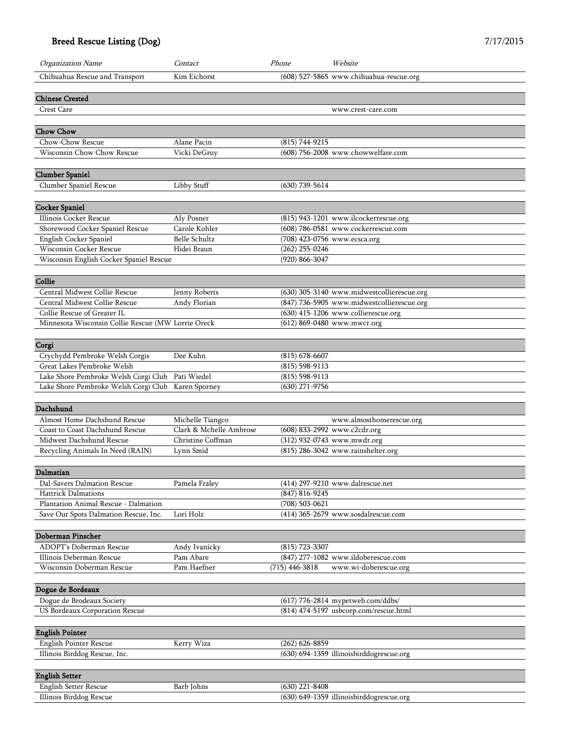| Organization Name                                  | Contact                 | Phone              | Website                                    |
|----------------------------------------------------|-------------------------|--------------------|--------------------------------------------|
| Chihuahua Rescue and Transport                     | Kim Eichorst            |                    | (608) 527-5865 www.chihuahua-rescue.org    |
| <b>Chinese Crested</b>                             |                         |                    |                                            |
| Crest Care                                         |                         |                    | www.crest-care.com                         |
| <b>Chow Chow</b>                                   |                         |                    |                                            |
| Chow-Chow Rescue                                   | Alane Pacin             | $(815) 744 - 9215$ |                                            |
| Wisconsin Chow Chow Rescue                         | Vicki DeGruy            |                    | (608) 756-2008 www.chowwelfare.com         |
|                                                    |                         |                    |                                            |
| <b>Clumber Spaniel</b>                             |                         |                    |                                            |
| Clumber Spaniel Rescue                             | Libby Stuff             | $(630)$ 739-5614   |                                            |
| <b>Cocker Spaniel</b>                              |                         |                    |                                            |
| Illinois Cocker Rescue                             | Aly Posner              |                    | (815) 943-1201 www.ilcockerrescue.org      |
| Shorewood Cocker Spaniel Rescue                    | Carole Kohler           |                    | (608) 786-0581 www.cockerrescue.com        |
| English Cocker Spaniel                             | <b>Belle Schultz</b>    |                    | (708) 423-0756 www.ecsca.org               |
| Wisconsin Cocker Rescue                            | Hidei Braun             | $(262)$ 255-0246   |                                            |
| Wisconsin English Cocker Spaniel Rescue            |                         | (920) 866-3047     |                                            |
|                                                    |                         |                    |                                            |
| Collie                                             |                         |                    |                                            |
| Central Midwest Collie Rescue                      | Jenny Roberts           |                    | (630) 305-3140 www.midwestcollierescue.org |
| Central Midwest Collie Rescue                      | Andy Florian            |                    | (847) 736-5905 www.midwestcollierescue.org |
| Collie Rescue of Greater IL                        |                         |                    | (630) 415-1206 www.collierescue.org        |
| Minnesota Wisconsin Collie Rescue (MW Lorrie Oreck |                         |                    | (612) 869-0480 www.mwcr.org                |
|                                                    |                         |                    |                                            |
| Corgi                                              |                         |                    |                                            |
| Crychydd Pembroke Welsh Corgis                     | Dee Kuhn                | $(815) 678 - 6607$ |                                            |
| Great Lakes Pembroke Welsh                         |                         | $(815) 598 - 9113$ |                                            |
| Lake Shore Pembroke Welsh Corgi Club               | Pati Wiedel             | $(815)$ 598-9113   |                                            |
| Lake Shore Pembroke Welsh Corgi Club               | Karen Sporney           | $(630)$ 271-9756   |                                            |
| Dachshund                                          |                         |                    |                                            |
|                                                    |                         |                    |                                            |
| Almost Home Dachshund Rescue                       | Michelle Tiangco        |                    | www.almosthomerescue.org                   |
| Coast to Coast Dachshund Rescue                    | Clark & Mchelle Ambrose |                    | (608) 833-2992 www.c2cdr.org               |
| Midwest Dachshund Rescue                           | Christine Coffman       |                    | (312) 932-0743 www.mwdr.org                |
| Recycling Animals In Need (RAIN)                   | Lynn Smid               |                    | (815) 286-3042 www.rainshelter.org         |
| Dalmatian                                          |                         |                    |                                            |
|                                                    |                         |                    |                                            |
| Dal-Savers Dalmation Rescue                        | Pamela Fraley           | $(847) 816 - 9245$ | (414) 297-9210 www.dalrescue.net           |
| <b>Hattrick Dalmations</b>                         |                         |                    |                                            |
| Plantation Animal Rescue - Dalmation               | Lori Holz               | $(708)$ 503-0621   | (414) 365-2679 www.sosdalrescue.com        |
| Save Our Spots Dalmation Rescue, Inc.              |                         |                    |                                            |
| Doberman Pinscher                                  |                         |                    |                                            |
| ADOPT's Doberman Rescue                            | Andy Ivanicky           | (815) 723-3307     |                                            |
| Illinois Deberman Rescue                           | Pam Abare               |                    | (847) 277-1082 www.ildoberescue.com        |
| Wisconsin Doberman Rescue                          | Pam Haefner             | $(715)$ 446-3818   | www.wi-doberescue.org                      |
|                                                    |                         |                    |                                            |
| Dogue de Bordeaux                                  |                         |                    |                                            |
| Dogue de Brodeaux Society                          |                         |                    | (617) 776-2814 mypetweb.com/ddbs/          |
| US Bordeaux Corporation Rescue                     |                         |                    | (814) 474-5197 usbcorp.com/rescue.html     |
| <b>English Pointer</b>                             |                         |                    |                                            |
| English Pointer Rescue                             | Kerry Wiza              | $(262)$ 626-8859   |                                            |
| Illinois Birddog Rescue, Inc.                      |                         |                    | (630) 694-1359 illinoisbirddogrescue.org   |
|                                                    |                         |                    |                                            |
| <b>English Setter</b>                              |                         |                    |                                            |
| <b>English Setter Rescue</b>                       | Barb Johns              | $(630)$ 221-8408   |                                            |
| Illinois Birddog Rescue                            |                         |                    | (630) 649-1359 illinoisbirddogrescue.org   |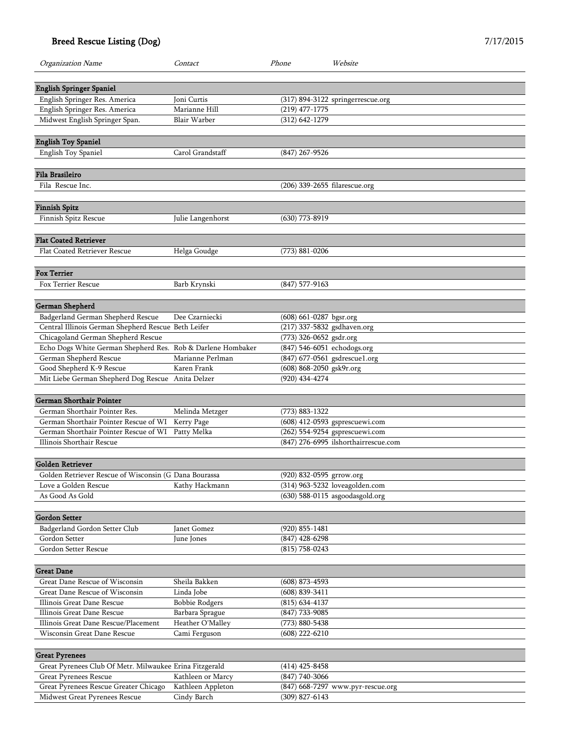| Organization Name                                                                         | Contact               | Phone                                                  | Website                              |
|-------------------------------------------------------------------------------------------|-----------------------|--------------------------------------------------------|--------------------------------------|
|                                                                                           |                       |                                                        |                                      |
| <b>English Springer Spaniel</b>                                                           | Joni Curtis           |                                                        |                                      |
| English Springer Res. America<br>English Springer Res. America                            | Marianne Hill         | $(219)$ 477-1775                                       | (317) 894-3122 springerrescue.org    |
| Midwest English Springer Span.                                                            | <b>Blair Warber</b>   | $(312) 642 - 1279$                                     |                                      |
|                                                                                           |                       |                                                        |                                      |
| <b>English Toy Spaniel</b>                                                                |                       |                                                        |                                      |
| <b>English Toy Spaniel</b>                                                                | Carol Grandstaff      | (847) 267-9526                                         |                                      |
|                                                                                           |                       |                                                        |                                      |
| Fila Brasileiro                                                                           |                       |                                                        |                                      |
| Fila Rescue Inc.                                                                          |                       | (206) 339-2655 filarescue.org                          |                                      |
| <b>Finnish Spitz</b>                                                                      |                       |                                                        |                                      |
| Finnish Spitz Rescue                                                                      | Julie Langenhorst     | $(630)$ 773-8919                                       |                                      |
|                                                                                           |                       |                                                        |                                      |
| <b>Flat Coated Retriever</b>                                                              |                       |                                                        |                                      |
| Flat Coated Retriever Rescue                                                              | Helga Goudge          | $(773) 881 - 0206$                                     |                                      |
|                                                                                           |                       |                                                        |                                      |
| <b>Fox Terrier</b>                                                                        |                       |                                                        |                                      |
| Fox Terrier Rescue                                                                        | Barb Krynski          | $(847)$ 577-9163                                       |                                      |
|                                                                                           |                       |                                                        |                                      |
| German Shepherd                                                                           |                       |                                                        |                                      |
| Badgerland German Shepherd Rescue                                                         | Dee Czarniecki        | (608) 661-0287 bgsr.org                                |                                      |
| Central Illinois German Shepherd Rescue Beth Leifer<br>Chicagoland German Shepherd Rescue |                       | (217) 337-5832 gsdhaven.org<br>(773) 326-0652 gsdr.org |                                      |
| Echo Dogs White German Shepherd Res. Rob & Darlene Hombaker                               |                       | (847) 546-6051 echodogs.org                            |                                      |
| German Shepherd Rescue                                                                    | Marianne Perlman      | (847) 677-0561 gsdrescuel.org                          |                                      |
| Good Shepherd K-9 Rescue                                                                  | Karen Frank           | (608) 868-2050 gsk9r.org                               |                                      |
| Mit Liebe German Shepherd Dog Rescue Anita Delzer                                         |                       | (920) 434-4274                                         |                                      |
|                                                                                           |                       |                                                        |                                      |
| <b>German Shorthair Pointer</b>                                                           |                       |                                                        |                                      |
| German Shorthair Pointer Res.                                                             | Melinda Metzger       | (773) 883-1322                                         |                                      |
| German Shorthair Pointer Rescue of WI Kerry Page                                          |                       |                                                        | (608) 412-0593 gsprescuewi.com       |
| German Shorthair Pointer Rescue of WI Patty Melka                                         |                       |                                                        | (262) 554-9254 gsprescuewi.com       |
| Illinois Shorthair Rescue                                                                 |                       |                                                        | (847) 276-6995 ilshorthairrescue.com |
|                                                                                           |                       |                                                        |                                      |
| Golden Retriever                                                                          |                       |                                                        |                                      |
| Golden Retriever Rescue of Wisconsin (G Dana Bourassa                                     |                       | (920) 832-0595 grrow.org                               |                                      |
| Love a Golden Rescue                                                                      | Kathy Hackmann        |                                                        | (314) 963-5232 loveagolden.com       |
| As Good As Gold                                                                           |                       |                                                        | (630) 588-0115 asgoodasgold.org      |
| Gordon Setter                                                                             |                       |                                                        |                                      |
| Badgerland Gordon Setter Club                                                             | Janet Gomez           | $(920)$ 855-1481                                       |                                      |
| Gordon Setter                                                                             | June Jones            | $(847)$ 428-6298                                       |                                      |
| Gordon Setter Rescue                                                                      |                       | $(815)$ 758-0243                                       |                                      |
|                                                                                           |                       |                                                        |                                      |
| <b>Great Dane</b>                                                                         |                       |                                                        |                                      |
| Great Dane Rescue of Wisconsin                                                            | Sheila Bakken         | $(608)$ 873-4593                                       |                                      |
| Great Dane Rescue of Wisconsin                                                            | Linda Jobe            | $(608) 839 - 3411$                                     |                                      |
| Illinois Great Dane Rescue                                                                | <b>Bobbie Rodgers</b> | $(815) 634 - 4137$                                     |                                      |
| Illinois Great Dane Rescue                                                                | Barbara Sprague       | $(847)$ 733-9085                                       |                                      |
| Illinois Great Dane Rescue/Placement                                                      | Heather O'Malley      | $(773) 880 - 5438$                                     |                                      |
| Wisconsin Great Dane Rescue                                                               | Cami Ferguson         | $(608)$ 222-6210                                       |                                      |
| <b>Great Pyrenees</b>                                                                     |                       |                                                        |                                      |
| Great Pyrenees Club Of Metr. Milwaukee Erina Fitzgerald                                   |                       | $(414)$ 425-8458                                       |                                      |
| <b>Great Pyrenees Rescue</b>                                                              | Kathleen or Marcy     | $(847)$ 740-3066                                       |                                      |
| Great Pyrenees Rescue Greater Chicago                                                     | Kathleen Appleton     |                                                        | (847) 668-7297 www.pyr-rescue.org    |
| Midwest Great Pyrenees Rescue                                                             | Cindy Barch           | $(309)$ 827-6143                                       |                                      |
|                                                                                           |                       |                                                        |                                      |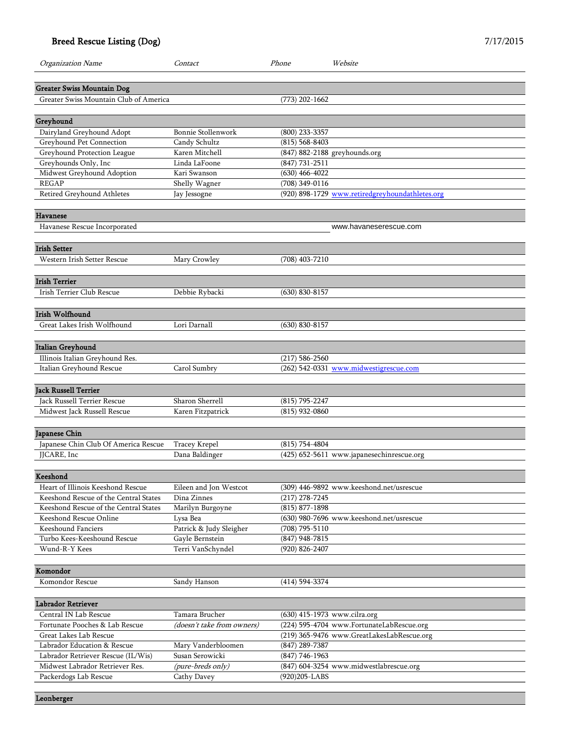| Organization Name                                          | Contact                                    | Phone                                | Website                                         |
|------------------------------------------------------------|--------------------------------------------|--------------------------------------|-------------------------------------------------|
|                                                            |                                            |                                      |                                                 |
| <b>Greater Swiss Mountain Dog</b>                          |                                            |                                      |                                                 |
| Greater Swiss Mountain Club of America                     |                                            | $(773)$ 202-1662                     |                                                 |
|                                                            |                                            |                                      |                                                 |
| Greyhound<br>Dairyland Greyhound Adopt                     | Bonnie Stollenwork                         | (800) 233-3357                       |                                                 |
| Greyhound Pet Connection                                   | Candy Schultz                              | $(815) 568 - 8403$                   |                                                 |
| Greyhound Protection League                                | Karen Mitchell                             |                                      | (847) 882-2188 greyhounds.org                   |
| Greyhounds Only, Inc                                       | Linda LaFoone                              | $(847) 731 - 2511$                   |                                                 |
| Midwest Greyhound Adoption                                 | Kari Swanson                               | $(630)$ 466-4022                     |                                                 |
| <b>REGAP</b>                                               | Shelly Wagner                              | (708) 349-0116                       |                                                 |
| Retired Greyhound Athletes                                 | Jay Jessogne                               |                                      | (920) 898-1729 www.retiredgreyhoundathletes.org |
|                                                            |                                            |                                      |                                                 |
| <b>Havanese</b>                                            |                                            |                                      |                                                 |
| Havanese Rescue Incorporated                               |                                            |                                      | www.havaneserescue.com                          |
| <b>Irish Setter</b>                                        |                                            |                                      |                                                 |
| Western Irish Setter Rescue                                | Mary Crowley                               | $(708)$ 403-7210                     |                                                 |
|                                                            |                                            |                                      |                                                 |
| <b>Irish Terrier</b>                                       |                                            |                                      |                                                 |
| Irish Terrier Club Rescue                                  | Debbie Rybacki                             | $(630) 830 - 8157$                   |                                                 |
|                                                            |                                            |                                      |                                                 |
| Irish Wolfhound<br>Great Lakes Irish Wolfhound             | Lori Darnall                               | $(630) 830 - 8157$                   |                                                 |
|                                                            |                                            |                                      |                                                 |
| Italian Greyhound                                          |                                            |                                      |                                                 |
| Illinois Italian Greyhound Res.                            |                                            | $(217) 586 - 2560$                   |                                                 |
| Italian Greyhound Rescue                                   | Carol Sumbry                               |                                      | (262) 542-0331 www.midwestigrescue.com          |
|                                                            |                                            |                                      |                                                 |
| <b>Jack Russell Terrier</b><br>Jack Russell Terrier Rescue | Sharon Sherrell                            | $(815)$ 795-2247                     |                                                 |
| Midwest Jack Russell Rescue                                | Karen Fitzpatrick                          | $(815)$ 932-0860                     |                                                 |
|                                                            |                                            |                                      |                                                 |
| Japanese Chin                                              |                                            |                                      |                                                 |
| Japanese Chin Club Of America Rescue                       | Tracey Krepel                              | $(815) 754 - 4804$                   |                                                 |
| JJCARE, Inc                                                | Dana Baldinger                             |                                      | (425) 652-5611 www.japanesechinrescue.org       |
|                                                            |                                            |                                      |                                                 |
| Keeshond                                                   |                                            |                                      |                                                 |
| Heart of Illinois Keeshond Rescue                          | Eileen and Jon Westcot                     |                                      | (309) 446-9892 www.keeshond.net/usrescue        |
| Keeshond Rescue of the Central States                      | Dina Zinnes                                | $(217)$ 278-7245                     |                                                 |
| Keeshond Rescue of the Central States                      | Marilyn Burgoyne                           | $(815) 877 - 1898$                   |                                                 |
| Keeshond Rescue Online                                     | Lysa Bea                                   |                                      | (630) 980-7696 www.keeshond.net/usrescue        |
| <b>Keeshound Fanciers</b><br>Turbo Kees-Keeshound Rescue   | Patrick & Judy Sleigher<br>Gayle Bernstein | $(708)$ 795-5110                     |                                                 |
| Wund-R-Y Kees                                              | Terri VanSchyndel                          | $(847)$ 948-7815<br>$(920)$ 826-2407 |                                                 |
|                                                            |                                            |                                      |                                                 |
| Komondor                                                   |                                            |                                      |                                                 |
| Komondor Rescue                                            | Sandy Hanson                               | $(414)$ 594-3374                     |                                                 |
|                                                            |                                            |                                      |                                                 |
| Labrador Retriever<br>Central IN Lab Rescue                | Tamara Brucher                             | (630) 415-1973 www.cilra.org         |                                                 |
| Fortunate Pooches & Lab Rescue                             | (doesn't take from owners)                 |                                      | (224) 595-4704 www.FortunateLabRescue.org       |
| Great Lakes Lab Rescue                                     |                                            |                                      | (219) 365-9476 www.GreatLakesLabRescue.org      |
| Labrador Education & Rescue                                | Mary Vanderbloomen                         | $(847)$ 289-7387                     |                                                 |
| Labrador Retriever Rescue (IL/Wis)                         | Susan Serowicki                            | $(847) 746 - 1963$                   |                                                 |
| Midwest Labrador Retriever Res.                            | (pure-breds only)                          |                                      | (847) 604-3254 www.midwestlabrescue.org         |
| Packerdogs Lab Rescue                                      | Cathy Davey                                | (920)205-LABS                        |                                                 |
|                                                            |                                            |                                      |                                                 |

Leonberger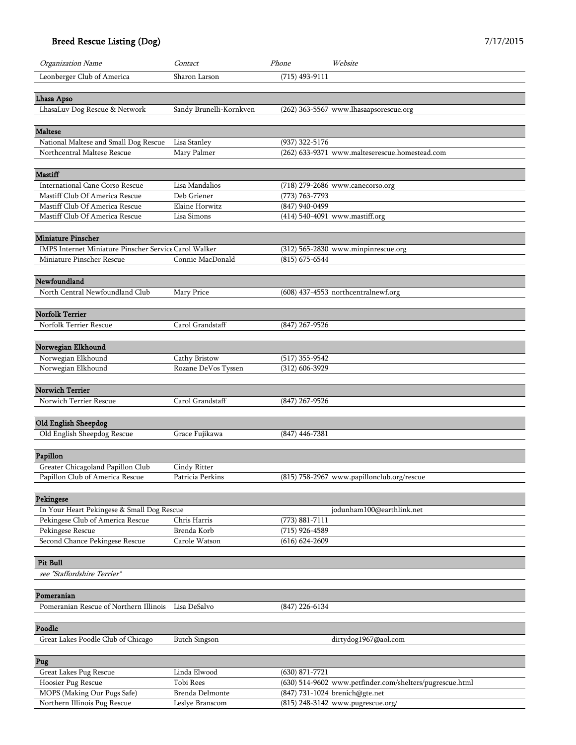| Organization Name                                                              | Contact                            | Phone                       | Website                                                             |
|--------------------------------------------------------------------------------|------------------------------------|-----------------------------|---------------------------------------------------------------------|
| Leonberger Club of America                                                     | Sharon Larson                      | $(715)$ 493-9111            |                                                                     |
|                                                                                |                                    |                             |                                                                     |
| Lhasa Apso                                                                     |                                    |                             |                                                                     |
| LhasaLuv Dog Rescue & Network                                                  | Sandy Brunelli-Kornkven            |                             | (262) 363-5567 www.lhasaapsorescue.org                              |
|                                                                                |                                    |                             |                                                                     |
| <b>Maltese</b>                                                                 |                                    |                             |                                                                     |
| National Maltese and Small Dog Rescue                                          | Lisa Stanley                       | $(937)$ 322-5176            |                                                                     |
| Northcentral Maltese Rescue                                                    | Mary Palmer                        |                             | (262) 633-9371 www.malteserescue.homestead.com                      |
| <b>Mastiff</b>                                                                 |                                    |                             |                                                                     |
| International Cane Corso Rescue                                                | Lisa Mandalios                     |                             | (718) 279-2686 www.canecorso.org                                    |
| Mastiff Club Of America Rescue                                                 | Deb Griener                        | (773) 763-7793              |                                                                     |
| Mastiff Club Of America Rescue                                                 | Elaine Horwitz                     | $\overline{(847)940}$ -0499 |                                                                     |
| Mastiff Club Of America Rescue                                                 | Lisa Simons                        |                             | (414) 540-4091 www.mastiff.org                                      |
|                                                                                |                                    |                             |                                                                     |
| <b>Miniature Pinscher</b>                                                      |                                    |                             |                                                                     |
| IMPS Internet Miniature Pinscher Service Carol Walker                          |                                    |                             | (312) 565-2830 www.minpinrescue.org                                 |
| Miniature Pinscher Rescue                                                      | Connie MacDonald                   | $(815) 675 - 6544$          |                                                                     |
|                                                                                |                                    |                             |                                                                     |
| Newfoundland                                                                   |                                    |                             |                                                                     |
| North Central Newfoundland Club                                                | Mary Price                         |                             | (608) 437-4553 northcentralnewf.org                                 |
|                                                                                |                                    |                             |                                                                     |
| <b>Norfolk Terrier</b>                                                         |                                    |                             |                                                                     |
| Norfolk Terrier Rescue                                                         | Carol Grandstaff                   | $(847)$ 267-9526            |                                                                     |
|                                                                                |                                    |                             |                                                                     |
| Norwegian Elkhound<br>Norwegian Elkhound                                       | Cathy Bristow                      | $(517)$ 355-9542            |                                                                     |
| Norwegian Elkhound                                                             | Rozane DeVos Tyssen                | $(312)$ 606-3929            |                                                                     |
|                                                                                |                                    |                             |                                                                     |
| <b>Norwich Terrier</b>                                                         |                                    |                             |                                                                     |
| Norwich Terrier Rescue                                                         | Carol Grandstaff                   | $(847)$ 267-9526            |                                                                     |
|                                                                                |                                    |                             |                                                                     |
| Old English Sheepdog                                                           |                                    |                             |                                                                     |
| Old English Sheepdog Rescue                                                    | Grace Fujikawa                     | $(847)$ 446-7381            |                                                                     |
|                                                                                |                                    |                             |                                                                     |
| Papillon                                                                       |                                    |                             |                                                                     |
| Greater Chicagoland Papillon Club                                              | Cindy Ritter                       |                             |                                                                     |
| Papillon Club of America Rescue                                                | Patricia Perkins                   |                             | (815) 758-2967 www.papillonclub.org/rescue                          |
|                                                                                |                                    |                             |                                                                     |
| Pekingese                                                                      |                                    |                             |                                                                     |
| In Your Heart Pekingese & Small Dog Rescue<br>Pekingese Club of America Rescue | Chris Harris                       | $(773) 881 - 7111$          | jodunham100@earthlink.net                                           |
| Pekingese Rescue                                                               | Brenda Korb                        | $(715)$ 926-4589            |                                                                     |
| Second Chance Pekingese Rescue                                                 | Carole Watson                      | $(616) 624 - 2609$          |                                                                     |
|                                                                                |                                    |                             |                                                                     |
| Pit Bull                                                                       |                                    |                             |                                                                     |
| see "Staffordshire Terrier"                                                    |                                    |                             |                                                                     |
|                                                                                |                                    |                             |                                                                     |
| Pomeranian                                                                     |                                    |                             |                                                                     |
| Pomeranian Rescue of Northern Illinois                                         | Lisa DeSalvo                       | $(847)$ 226-6134            |                                                                     |
|                                                                                |                                    |                             |                                                                     |
| Poodle                                                                         |                                    |                             |                                                                     |
| Great Lakes Poodle Club of Chicago                                             | <b>Butch Singson</b>               |                             | dirtydog1967@aol.com                                                |
|                                                                                |                                    |                             |                                                                     |
| Pug                                                                            |                                    |                             |                                                                     |
| Great Lakes Pug Rescue                                                         | Linda Elwood                       | $(630)$ 871-7721            |                                                                     |
| Hoosier Pug Rescue                                                             | Tobi Rees                          |                             | (630) 514-9602 www.petfinder.com/shelters/pugrescue.html            |
| MOPS (Making Our Pugs Safe)<br>Northern Illinois Pug Rescue                    | Brenda Delmonte<br>Leslye Branscom |                             | (847) 731-1024 brenich@gte.net<br>(815) 248-3142 www.pugrescue.org/ |
|                                                                                |                                    |                             |                                                                     |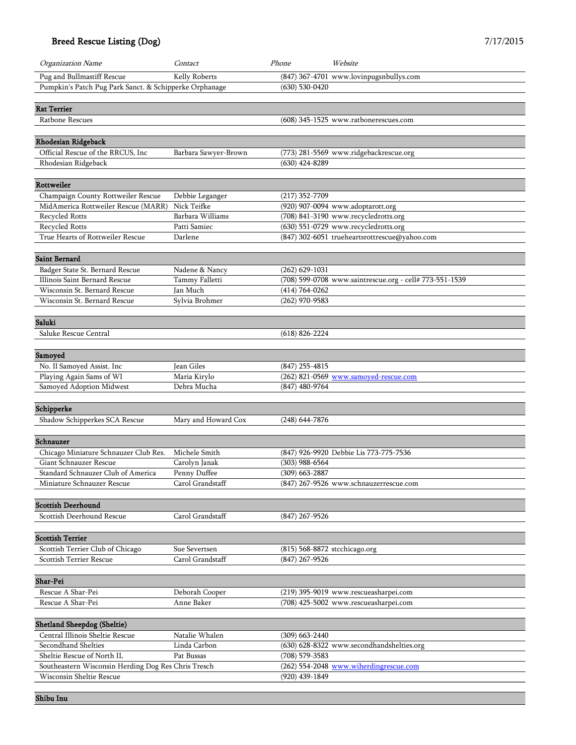| Organization Name                                                               | Contact              | Phone                         | Website                                                 |
|---------------------------------------------------------------------------------|----------------------|-------------------------------|---------------------------------------------------------|
| Pug and Bullmastiff Rescue                                                      | Kelly Roberts        |                               | (847) 367-4701 www.lovinpugsnbullys.com                 |
| Pumpkin's Patch Pug Park Sanct. & Schipperke Orphanage                          |                      | $(630)$ 530-0420              |                                                         |
|                                                                                 |                      |                               |                                                         |
| <b>Rat Terrier</b>                                                              |                      |                               |                                                         |
| Ratbone Rescues                                                                 |                      |                               | (608) 345-1525 www.ratbonerescues.com                   |
|                                                                                 |                      |                               |                                                         |
| Rhodesian Ridgeback                                                             |                      |                               |                                                         |
| Official Rescue of the RRCUS, Inc.                                              | Barbara Sawyer-Brown |                               | (773) 281-5569 www.ridgebackrescue.org                  |
| Rhodesian Ridgeback                                                             |                      | $(630)$ 424-8289              |                                                         |
|                                                                                 |                      |                               |                                                         |
| Rottweiler                                                                      |                      |                               |                                                         |
| Champaign County Rottweiler Rescue                                              | Debbie Leganger      | $(217)$ 352-7709              |                                                         |
| MidAmerica Rottweiler Rescue (MARR)                                             | Nick Teifke          |                               | (920) 907-0094 www.adoptarott.org                       |
| Recycled Rotts                                                                  | Barbara Williams     |                               | (708) 841-3190 www.recycledrotts.org                    |
| Recycled Rotts                                                                  | Patti Samiec         |                               | (630) 551-0729 www.recycledrotts.org                    |
| True Hearts of Rottweiler Rescue                                                | Darlene              |                               | (847) 302-6051 trueheartsrottrescue@yahoo.com           |
| <b>Saint Bernard</b>                                                            |                      |                               |                                                         |
| Badger State St. Bernard Rescue                                                 | Nadene & Nancy       | $(262)$ 629-1031              |                                                         |
| Illinois Saint Bernard Rescue                                                   | Tammy Falletti       |                               | (708) 599-0708 www.saintrescue.org - cell# 773-551-1539 |
| Wisconsin St. Bernard Rescue                                                    | Jan Much             | $(414) 764 - 0262$            |                                                         |
| Wisconsin St. Bernard Rescue                                                    | Sylvia Brohmer       | $(262)$ 970-9583              |                                                         |
|                                                                                 |                      |                               |                                                         |
| Saluki                                                                          |                      |                               |                                                         |
| Saluke Rescue Central                                                           |                      | $(618)$ 826-2224              |                                                         |
| Samoyed                                                                         |                      |                               |                                                         |
| No. Il Samoyed Assist. Inc                                                      | Jean Giles           | $(847)$ 255-4815              |                                                         |
| Playing Again Sams of WI                                                        | Maria Kirylo         |                               | (262) 821-0569 www.samoyed-rescue.com                   |
| Samoyed Adoption Midwest                                                        | Debra Mucha          | $(847)$ 480-9764              |                                                         |
|                                                                                 |                      |                               |                                                         |
| Schipperke                                                                      |                      |                               |                                                         |
| Shadow Schipperkes SCA Rescue                                                   | Mary and Howard Cox  | $(248)$ 644-7876              |                                                         |
|                                                                                 |                      |                               |                                                         |
| Schnauzer                                                                       |                      |                               |                                                         |
| Chicago Miniature Schnauzer Club Res.                                           | Michele Smith        |                               | (847) 926-9920 Debbie Lis 773-775-7536                  |
| Giant Schnauzer Rescue                                                          | Carolyn Janak        | $(303)$ 988-6564              |                                                         |
| Standard Schnauzer Club of America                                              | Penny Duffee         | $(309)$ 663-2887              |                                                         |
| Miniature Schnauzer Rescue                                                      | Carol Grandstaff     |                               | (847) 267-9526 www.schnauzerrescue.com                  |
| <b>Scottish Deerhound</b>                                                       |                      |                               |                                                         |
|                                                                                 |                      |                               |                                                         |
| Scottish Deerhound Rescue                                                       | Carol Grandstaff     | $(847)$ 267-9526              |                                                         |
| <b>Scottish Terrier</b>                                                         |                      |                               |                                                         |
| Scottish Terrier Club of Chicago                                                | Sue Severtsen        | (815) 568-8872 stcchicago.org |                                                         |
| Scottish Terrier Rescue                                                         | Carol Grandstaff     | $(847)$ 267-9526              |                                                         |
|                                                                                 |                      |                               |                                                         |
| Shar-Pei                                                                        |                      |                               |                                                         |
| Rescue A Shar-Pei                                                               | Deborah Cooper       |                               | (219) 395-9019 www.rescueasharpei.com                   |
| Rescue A Shar-Pei                                                               | Anne Baker           |                               | (708) 425-5002 www.rescueasharpei.com                   |
|                                                                                 |                      |                               |                                                         |
| Shetland Sheepdog (Sheltie)                                                     |                      |                               |                                                         |
| Central Illinois Sheltie Rescue                                                 | Natalie Whalen       | $(309)$ 663-2440              |                                                         |
| Secondhand Shelties                                                             | Linda Carbon         |                               | (630) 628-8322 www.secondhandshelties.org               |
| Sheltie Rescue of North IL                                                      | Pat Bussas           | (708) 579-3583                |                                                         |
| Southeastern Wisconsin Herding Dog Res Chris Tresch<br>Wisconsin Sheltie Rescue |                      | (920) 439-1849                | (262) 554-2048 www.wiherdingrescue.com                  |
|                                                                                 |                      |                               |                                                         |